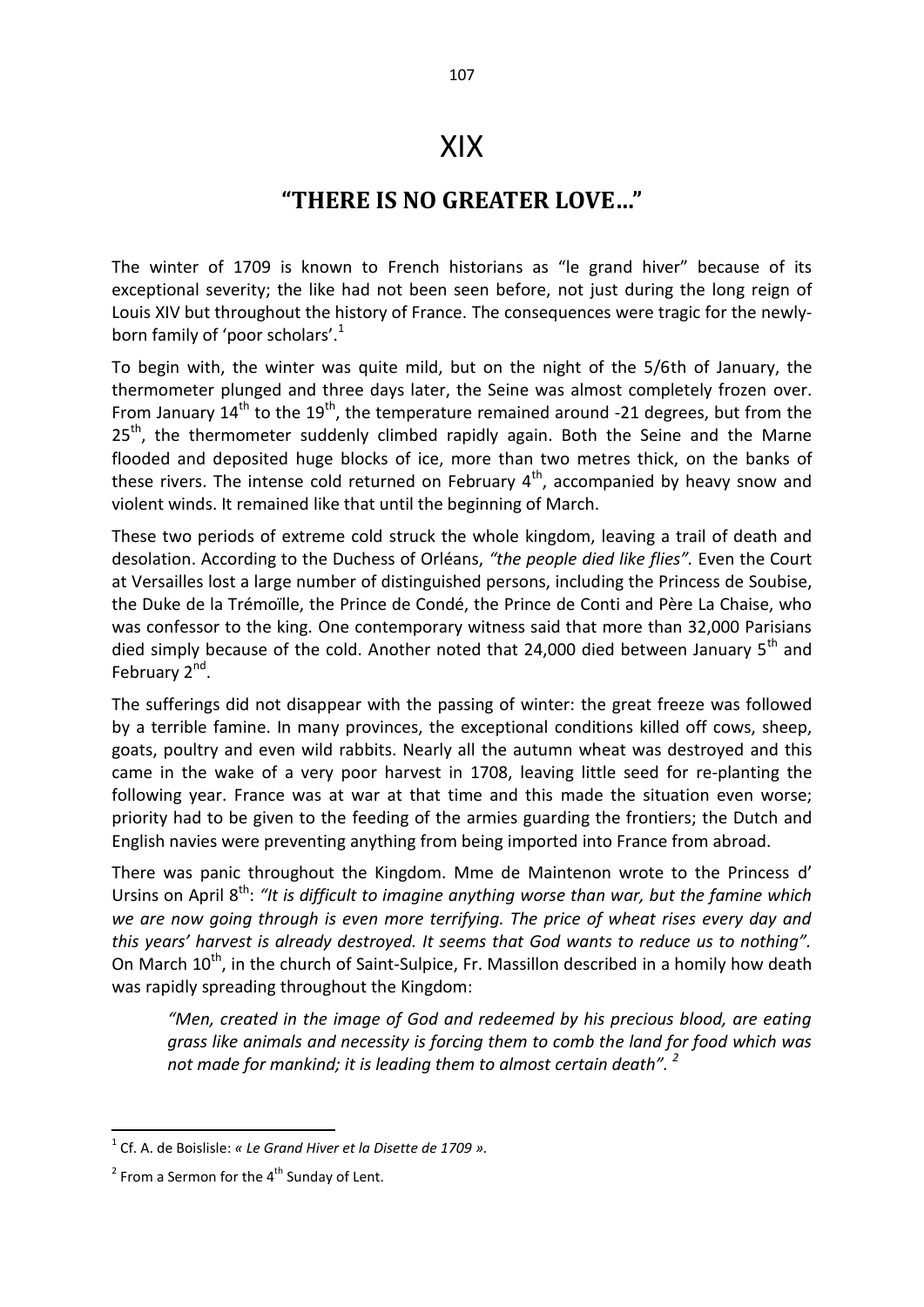## XIX

## **"THERE IS NO GREATER LOVE…"**

The winter of 1709 is known to French historians as "le grand hiver" because of its exceptional severity; the like had not been seen before, not just during the long reign of Louis XIV but throughout the history of France. The consequences were tragic for the newlyborn family of 'poor scholars'.<sup>1</sup>

To begin with, the winter was quite mild, but on the night of the 5/6th of January, the thermometer plunged and three days later, the Seine was almost completely frozen over. From January  $14<sup>th</sup>$  to the  $19<sup>th</sup>$ , the temperature remained around -21 degrees, but from the  $25<sup>th</sup>$ , the thermometer suddenly climbed rapidly again. Both the Seine and the Marne flooded and deposited huge blocks of ice, more than two metres thick, on the banks of these rivers. The intense cold returned on February  $4<sup>th</sup>$ , accompanied by heavy snow and violent winds. It remained like that until the beginning of March.

These two periods of extreme cold struck the whole kingdom, leaving a trail of death and desolation. According to the Duchess of Orléans, *"the people died like flies".* Even the Court at Versailles lost a large number of distinguished persons, including the Princess de Soubise, the Duke de la Trémoïlle, the Prince de Condé, the Prince de Conti and Père La Chaise, who was confessor to the king. One contemporary witness said that more than 32,000 Parisians died simply because of the cold. Another noted that 24,000 died between January 5<sup>th</sup> and February 2<sup>nd</sup>.

The sufferings did not disappear with the passing of winter: the great freeze was followed by a terrible famine. In many provinces, the exceptional conditions killed off cows, sheep, goats, poultry and even wild rabbits. Nearly all the autumn wheat was destroyed and this came in the wake of a very poor harvest in 1708, leaving little seed for re-planting the following year. France was at war at that time and this made the situation even worse; priority had to be given to the feeding of the armies guarding the frontiers; the Dutch and English navies were preventing anything from being imported into France from abroad.

There was panic throughout the Kingdom. Mme de Maintenon wrote to the Princess d' Ursins on April 8<sup>th</sup>: "It is difficult to imagine anything worse than war, but the famine which *we are now going through is even more terrifying. The price of wheat rises every day and this years' harvest is already destroyed. It seems that God wants to reduce us to nothing".*  On March 10<sup>th</sup>, in the church of Saint-Sulpice, Fr. Massillon described in a homily how death was rapidly spreading throughout the Kingdom:

*"Men, created in the image of God and redeemed by his precious blood, are eating grass like animals and necessity is forcing them to comb the land for food which was not made for mankind; it is leading them to almost certain death".* <sup>2</sup>

<sup>1</sup> Cf. A. de Boislisle: *« Le Grand Hiver et la Disette de 1709 ».* 

 $2$  From a Sermon for the  $4^{\text{th}}$  Sunday of Lent.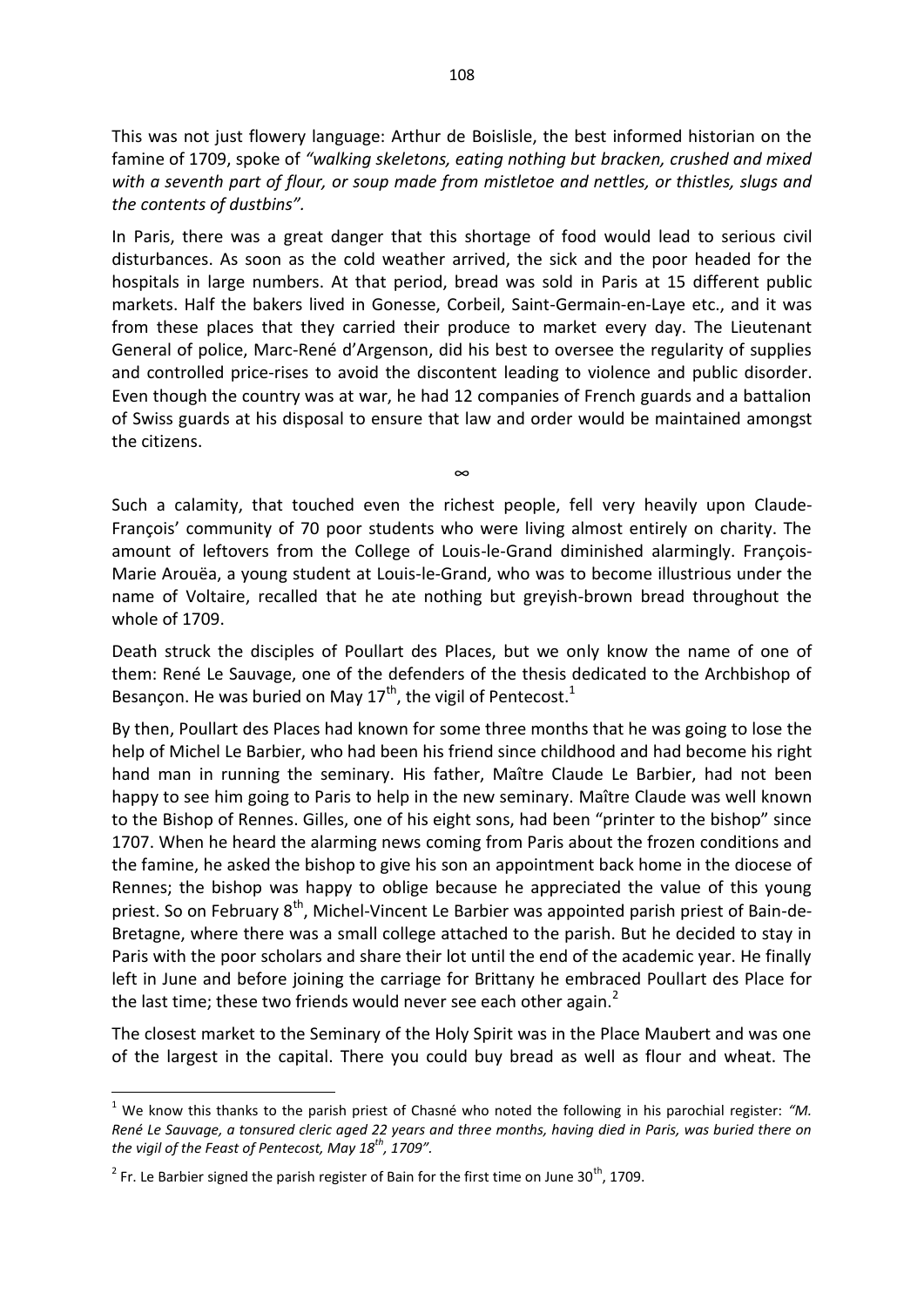This was not just flowery language: Arthur de Boislisle, the best informed historian on the famine of 1709, spoke of *"walking skeletons, eating nothing but bracken, crushed and mixed with a seventh part of flour, or soup made from mistletoe and nettles, or thistles, slugs and the contents of dustbins".*

In Paris, there was a great danger that this shortage of food would lead to serious civil disturbances. As soon as the cold weather arrived, the sick and the poor headed for the hospitals in large numbers. At that period, bread was sold in Paris at 15 different public markets. Half the bakers lived in Gonesse, Corbeil, Saint-Germain-en-Laye etc., and it was from these places that they carried their produce to market every day. The Lieutenant General of police, Marc-René d'Argenson, did his best to oversee the regularity of supplies and controlled price-rises to avoid the discontent leading to violence and public disorder. Even though the country was at war, he had 12 companies of French guards and a battalion of Swiss guards at his disposal to ensure that law and order would be maintained amongst the citizens.

Such a calamity, that touched even the richest people, fell very heavily upon Claude-François' community of 70 poor students who were living almost entirely on charity. The amount of leftovers from the College of Louis-le-Grand diminished alarmingly. François-Marie Arouëa, a young student at Louis-le-Grand, who was to become illustrious under the name of Voltaire, recalled that he ate nothing but greyish-brown bread throughout the whole of 1709.

∞

Death struck the disciples of Poullart des Places, but we only know the name of one of them: René Le Sauvage, one of the defenders of the thesis dedicated to the Archbishop of Besançon. He was buried on May 17<sup>th</sup>, the vigil of Pentecost.<sup>1</sup>

By then, Poullart des Places had known for some three months that he was going to lose the help of Michel Le Barbier, who had been his friend since childhood and had become his right hand man in running the seminary. His father, Maître Claude Le Barbier, had not been happy to see him going to Paris to help in the new seminary. Maître Claude was well known to the Bishop of Rennes. Gilles, one of his eight sons, had been "printer to the bishop" since 1707. When he heard the alarming news coming from Paris about the frozen conditions and the famine, he asked the bishop to give his son an appointment back home in the diocese of Rennes; the bishop was happy to oblige because he appreciated the value of this young priest. So on February  $8<sup>th</sup>$ , Michel-Vincent Le Barbier was appointed parish priest of Bain-de-Bretagne, where there was a small college attached to the parish. But he decided to stay in Paris with the poor scholars and share their lot until the end of the academic year. He finally left in June and before joining the carriage for Brittany he embraced Poullart des Place for the last time; these two friends would never see each other again. $<sup>2</sup>$ </sup>

The closest market to the Seminary of the Holy Spirit was in the Place Maubert and was one of the largest in the capital. There you could buy bread as well as flour and wheat. The

<sup>&</sup>lt;sup>1</sup> We know this thanks to the parish priest of Chasné who noted the following in his parochial register: "M. *René Le Sauvage, a tonsured cleric aged 22 years and three months, having died in Paris, was buried there on the vigil of the Feast of Pentecost, May 18th, 1709".* 

 $2$  Fr. Le Barbier signed the parish register of Bain for the first time on June 30<sup>th</sup>, 1709.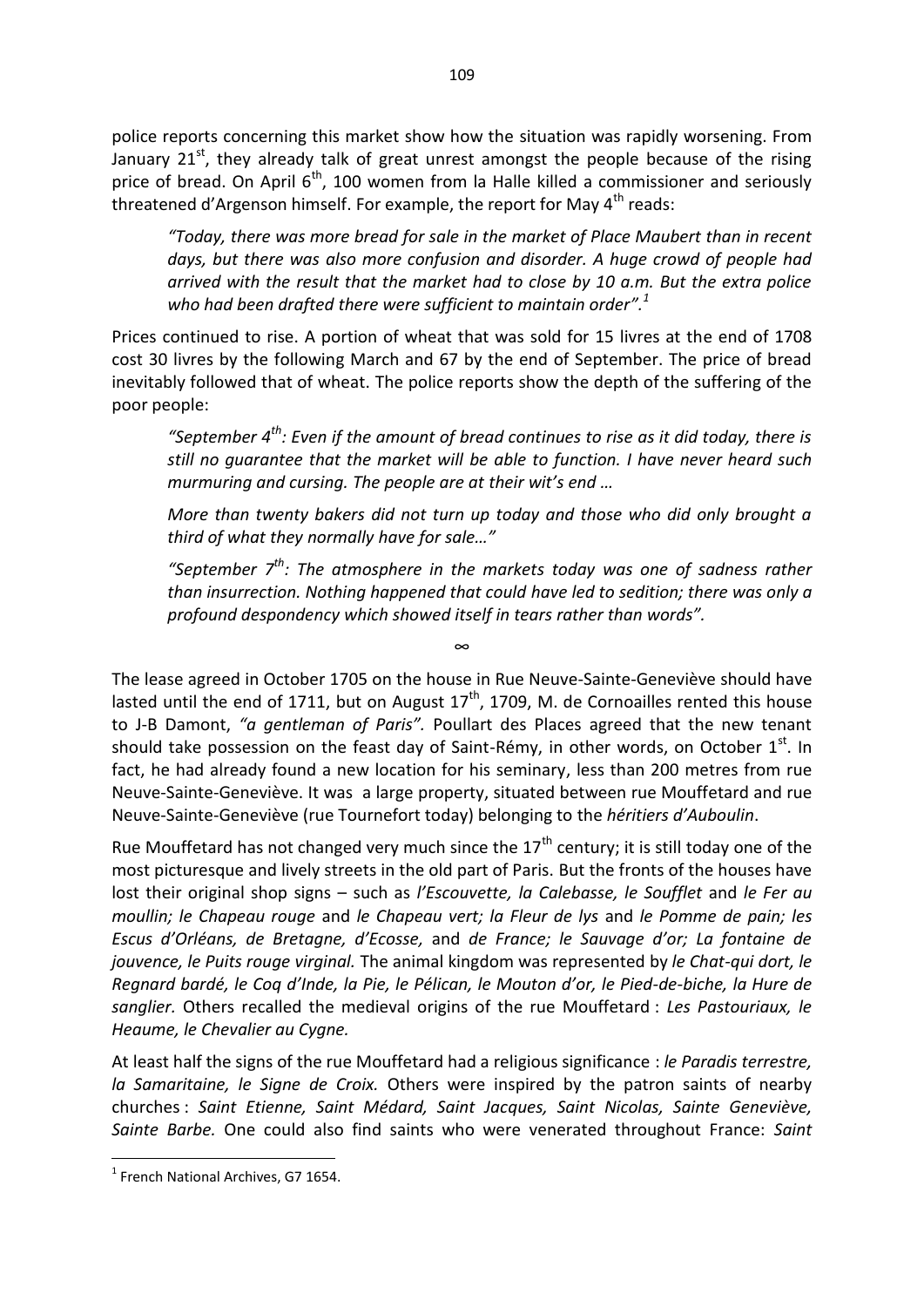police reports concerning this market show how the situation was rapidly worsening. From January  $21<sup>st</sup>$ , they already talk of great unrest amongst the people because of the rising price of bread. On April  $6<sup>th</sup>$ , 100 women from la Halle killed a commissioner and seriously threatened d'Argenson himself. For example, the report for May  $4<sup>th</sup>$  reads:

*"Today, there was more bread for sale in the market of Place Maubert than in recent days, but there was also more confusion and disorder. A huge crowd of people had arrived with the result that the market had to close by 10 a.m. But the extra police who had been drafted there were sufficient to maintain order".<sup>1</sup>* 

Prices continued to rise. A portion of wheat that was sold for 15 livres at the end of 1708 cost 30 livres by the following March and 67 by the end of September. The price of bread inevitably followed that of wheat. The police reports show the depth of the suffering of the poor people:

*"September 4th : Even if the amount of bread continues to rise as it did today, there is still no guarantee that the market will be able to function. I have never heard such murmuring and cursing. The people are at their wit's end …*

*More than twenty bakers did not turn up today and those who did only brought a third of what they normally have for sale…"*

*"September 7th: The atmosphere in the markets today was one of sadness rather than insurrection. Nothing happened that could have led to sedition; there was only a profound despondency which showed itself in tears rather than words".* 

The lease agreed in October 1705 on the house in Rue Neuve-Sainte-Geneviève should have lasted until the end of 1711, but on August  $17<sup>th</sup>$ , 1709, M. de Cornoailles rented this house to J-B Damont, *"a gentleman of Paris".* Poullart des Places agreed that the new tenant should take possession on the feast day of Saint-Rémy, in other words, on October 1<sup>st</sup>. In fact, he had already found a new location for his seminary, less than 200 metres from rue Neuve-Sainte-Geneviève. It was a large property, situated between rue Mouffetard and rue Neuve-Sainte-Geneviève (rue Tournefort today) belonging to the *héritiers d'Auboulin*.

Rue Mouffetard has not changed very much since the  $17<sup>th</sup>$  century; it is still today one of the most picturesque and lively streets in the old part of Paris. But the fronts of the houses have lost their original shop signs – such as *l'Escouvette, la Calebasse, le Soufflet* and *le Fer au moullin; le Chapeau rouge* and *le Chapeau vert; la Fleur de lys* and *le Pomme de pain; les Escus d'Orléans, de Bretagne, d'Ecosse,* and *de France; le Sauvage d'or; La fontaine de jouvence, le Puits rouge virginal.* The animal kingdom was represented by *le Chat-qui dort, le Regnard bardé, le Coq d'Inde, la Pie, le Pélican, le Mouton d'or, le Pied-de-biche, la Hure de sanglier.* Others recalled the medieval origins of the rue Mouffetard : *Les Pastouriaux, le Heaume, le Chevalier au Cygne.* 

At least half the signs of the rue Mouffetard had a religious significance : *le Paradis terrestre, la Samaritaine, le Signe de Croix.* Others were inspired by the patron saints of nearby churches : *Saint Etienne, Saint Médard, Saint Jacques, Saint Nicolas, Sainte Geneviève, Sainte Barbe.* One could also find saints who were venerated throughout France: *Saint*

**.** 

∞

<sup>&</sup>lt;sup>1</sup> French National Archives, G7 1654.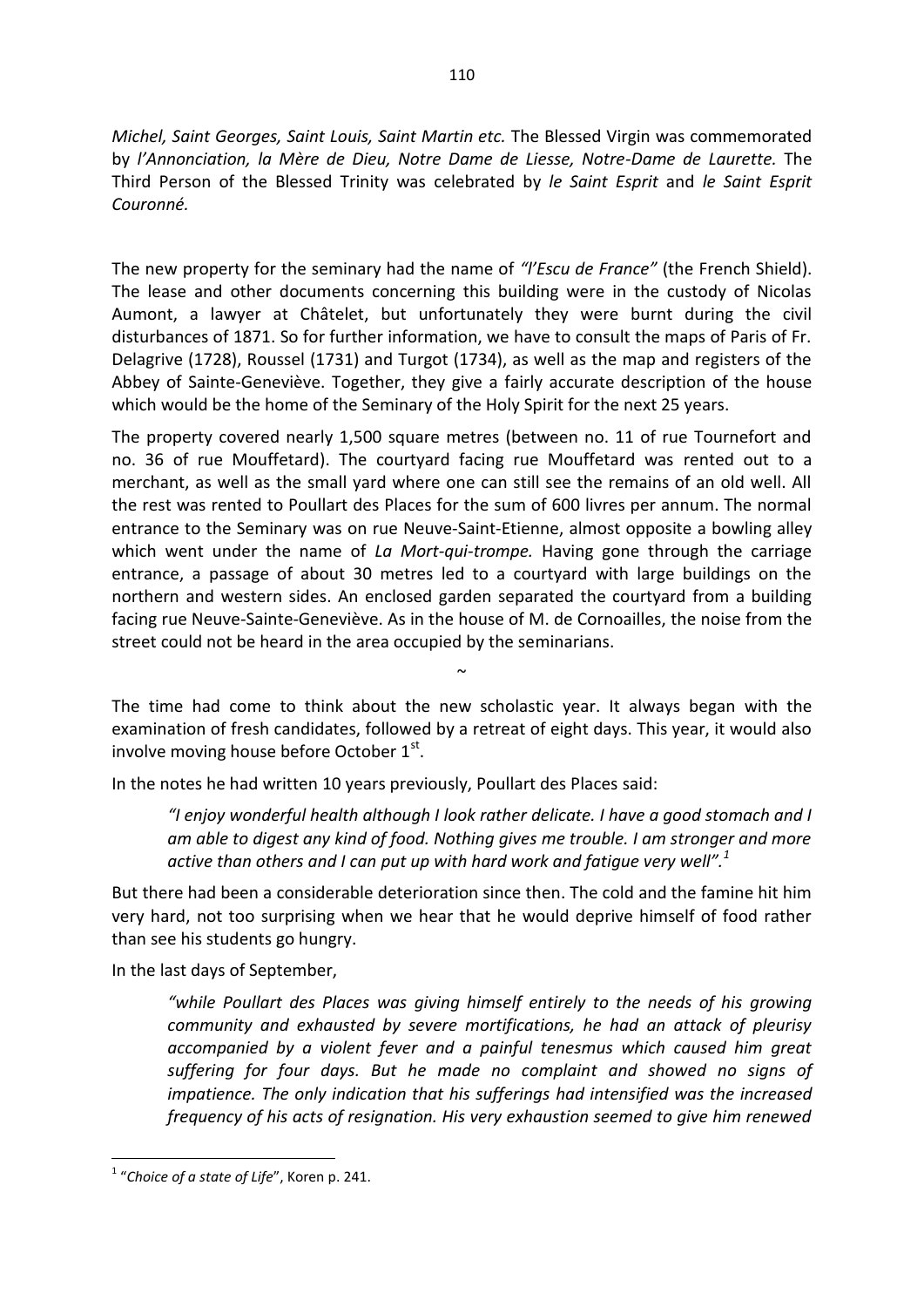*Michel, Saint Georges, Saint Louis, Saint Martin etc.* The Blessed Virgin was commemorated by *l'Annonciation, la Mère de Dieu, Notre Dame de Liesse, Notre-Dame de Laurette.* The Third Person of the Blessed Trinity was celebrated by *le Saint Esprit* and *le Saint Esprit Couronné.* 

The new property for the seminary had the name of *"l'Escu de France"* (the French Shield). The lease and other documents concerning this building were in the custody of Nicolas Aumont, a lawyer at Châtelet, but unfortunately they were burnt during the civil disturbances of 1871. So for further information, we have to consult the maps of Paris of Fr. Delagrive (1728), Roussel (1731) and Turgot (1734), as well as the map and registers of the Abbey of Sainte-Geneviève. Together, they give a fairly accurate description of the house which would be the home of the Seminary of the Holy Spirit for the next 25 years.

The property covered nearly 1,500 square metres (between no. 11 of rue Tournefort and no. 36 of rue Mouffetard). The courtyard facing rue Mouffetard was rented out to a merchant, as well as the small yard where one can still see the remains of an old well. All the rest was rented to Poullart des Places for the sum of 600 livres per annum. The normal entrance to the Seminary was on rue Neuve-Saint-Etienne, almost opposite a bowling alley which went under the name of *La Mort-qui-trompe.* Having gone through the carriage entrance, a passage of about 30 metres led to a courtyard with large buildings on the northern and western sides. An enclosed garden separated the courtyard from a building facing rue Neuve-Sainte-Geneviève. As in the house of M. de Cornoailles, the noise from the street could not be heard in the area occupied by the seminarians.

The time had come to think about the new scholastic year. It always began with the examination of fresh candidates, followed by a retreat of eight days. This year, it would also involve moving house before October 1st.

 $\sim$ 

In the notes he had written 10 years previously, Poullart des Places said:

*"I enjoy wonderful health although I look rather delicate. I have a good stomach and I am able to digest any kind of food. Nothing gives me trouble. I am stronger and more active than others and I can put up with hard work and fatigue very well".<sup>1</sup>* 

But there had been a considerable deterioration since then. The cold and the famine hit him very hard, not too surprising when we hear that he would deprive himself of food rather than see his students go hungry.

In the last days of September,

*"while Poullart des Places was giving himself entirely to the needs of his growing community and exhausted by severe mortifications, he had an attack of pleurisy accompanied by a violent fever and a painful tenesmus which caused him great suffering for four days. But he made no complaint and showed no signs of impatience. The only indication that his sufferings had intensified was the increased frequency of his acts of resignation. His very exhaustion seemed to give him renewed* 

<sup>1</sup> "*Choice of a state of Life*", Koren p. 241.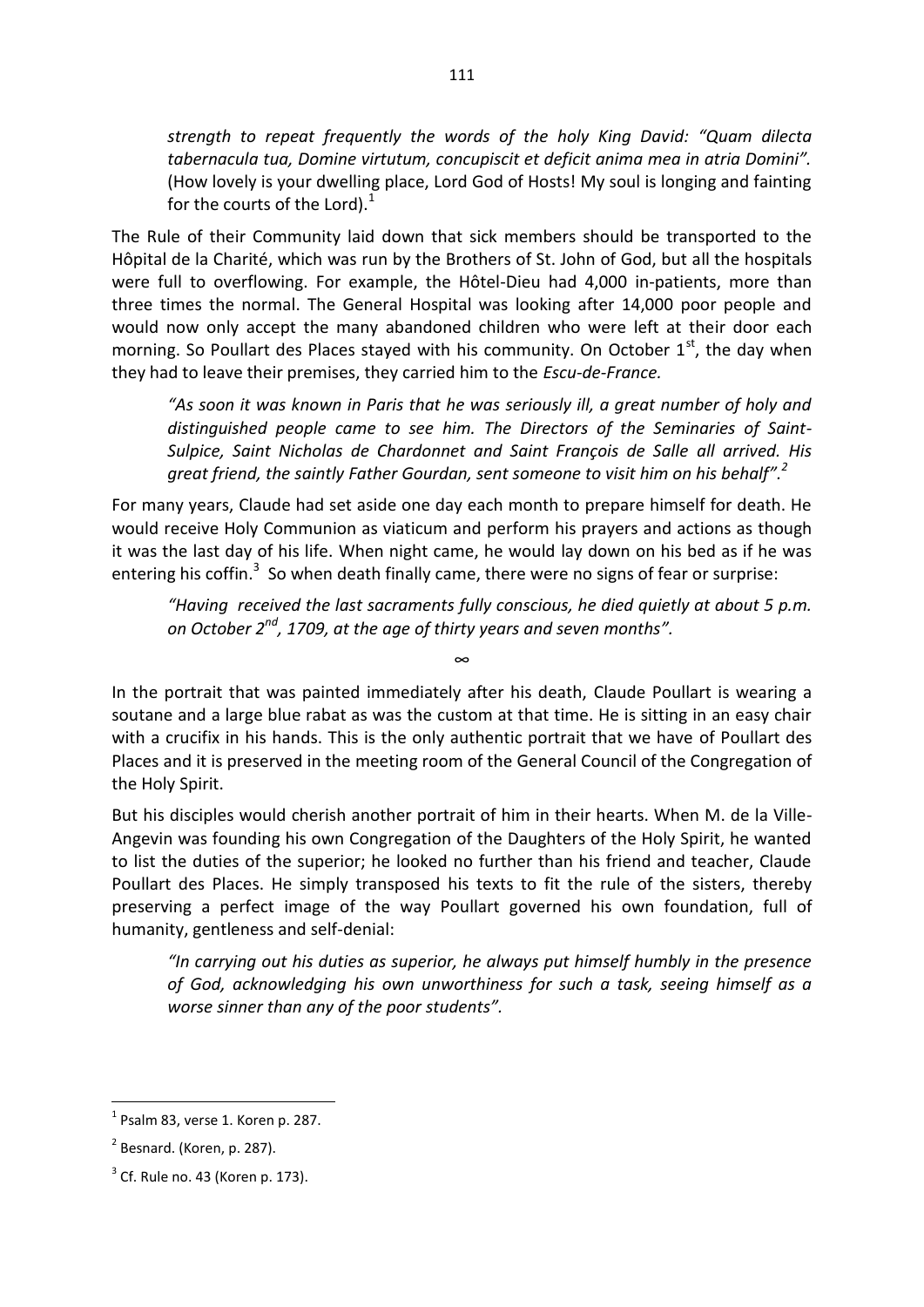*strength to repeat frequently the words of the holy King David: "Quam dilecta tabernacula tua, Domine virtutum, concupiscit et deficit anima mea in atria Domini".*  (How lovely is your dwelling place, Lord God of Hosts! My soul is longing and fainting for the courts of the Lord). $^1$ 

The Rule of their Community laid down that sick members should be transported to the Hôpital de la Charité, which was run by the Brothers of St. John of God, but all the hospitals were full to overflowing. For example, the Hôtel-Dieu had 4,000 in-patients, more than three times the normal. The General Hospital was looking after 14,000 poor people and would now only accept the many abandoned children who were left at their door each morning. So Poullart des Places stayed with his community. On October  $1<sup>st</sup>$ , the day when they had to leave their premises, they carried him to the *Escu-de-France.* 

*"As soon it was known in Paris that he was seriously ill, a great number of holy and distinguished people came to see him. The Directors of the Seminaries of Saint-Sulpice, Saint Nicholas de Chardonnet and Saint François de Salle all arrived. His great friend, the saintly Father Gourdan, sent someone to visit him on his behalf". 2* 

For many years, Claude had set aside one day each month to prepare himself for death. He would receive Holy Communion as viaticum and perform his prayers and actions as though it was the last day of his life. When night came, he would lay down on his bed as if he was entering his coffin. $3$  So when death finally came, there were no signs of fear or surprise:

*"Having received the last sacraments fully conscious, he died quietly at about 5 p.m. on October 2nd, 1709, at the age of thirty years and seven months".* 

In the portrait that was painted immediately after his death, Claude Poullart is wearing a soutane and a large blue rabat as was the custom at that time. He is sitting in an easy chair with a crucifix in his hands. This is the only authentic portrait that we have of Poullart des Places and it is preserved in the meeting room of the General Council of the Congregation of the Holy Spirit.

∞

But his disciples would cherish another portrait of him in their hearts. When M. de la Ville-Angevin was founding his own Congregation of the Daughters of the Holy Spirit, he wanted to list the duties of the superior; he looked no further than his friend and teacher, Claude Poullart des Places. He simply transposed his texts to fit the rule of the sisters, thereby preserving a perfect image of the way Poullart governed his own foundation, full of humanity, gentleness and self-denial:

*"In carrying out his duties as superior, he always put himself humbly in the presence of God, acknowledging his own unworthiness for such a task, seeing himself as a worse sinner than any of the poor students".* 

 $<sup>1</sup>$  Psalm 83, verse 1. Koren p. 287.</sup>

 $2$  Besnard. (Koren, p. 287).

 $3$  Cf. Rule no. 43 (Koren p. 173).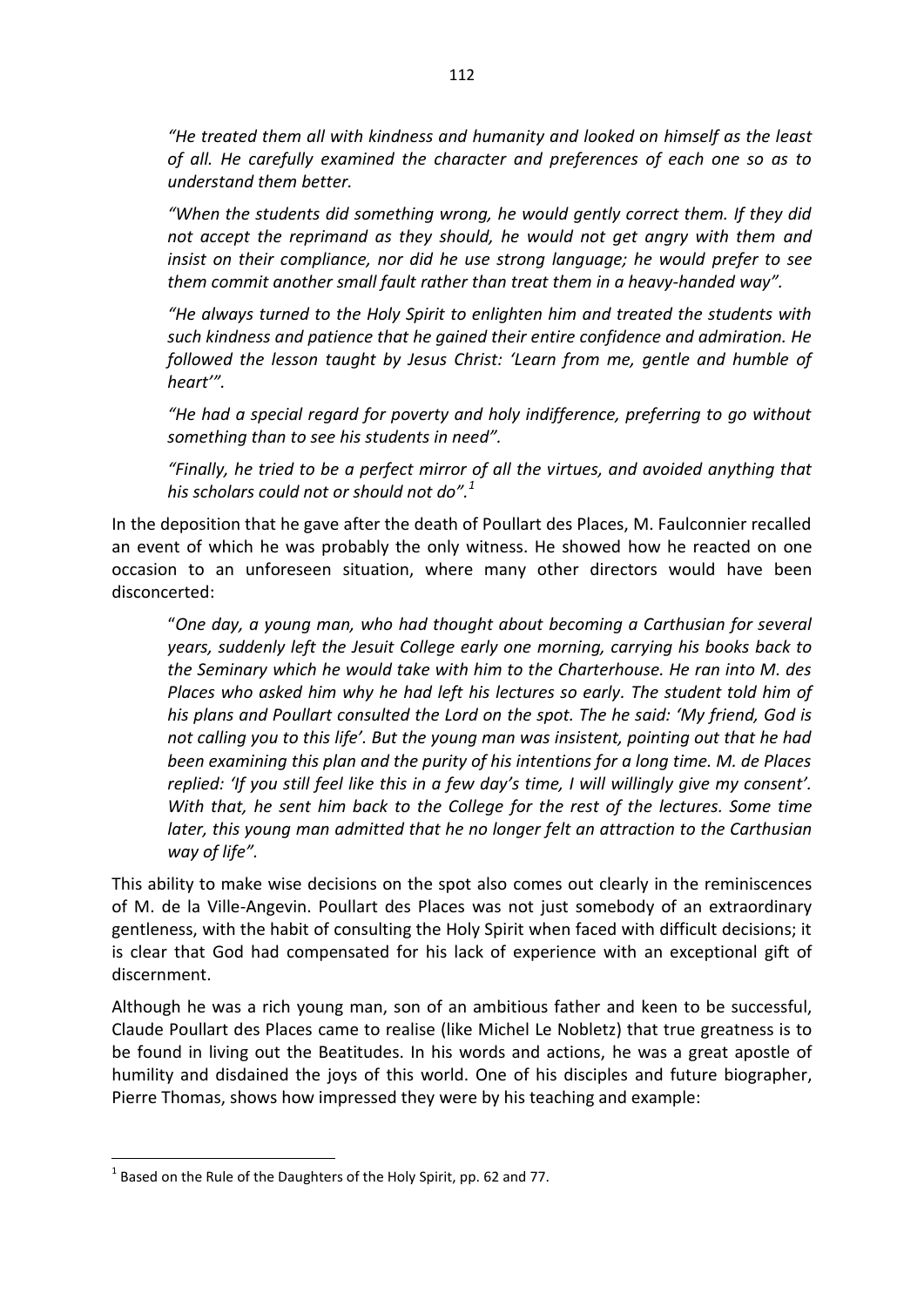*"He treated them all with kindness and humanity and looked on himself as the least of all. He carefully examined the character and preferences of each one so as to understand them better.* 

*"When the students did something wrong, he would gently correct them. If they did not accept the reprimand as they should, he would not get angry with them and insist on their compliance, nor did he use strong language; he would prefer to see them commit another small fault rather than treat them in a heavy-handed way".* 

*"He always turned to the Holy Spirit to enlighten him and treated the students with such kindness and patience that he gained their entire confidence and admiration. He followed the lesson taught by Jesus Christ: 'Learn from me, gentle and humble of heart'".* 

*"He had a special regard for poverty and holy indifference, preferring to go without something than to see his students in need".* 

*"Finally, he tried to be a perfect mirror of all the virtues, and avoided anything that his scholars could not or should not do".<sup>1</sup>*

In the deposition that he gave after the death of Poullart des Places, M. Faulconnier recalled an event of which he was probably the only witness. He showed how he reacted on one occasion to an unforeseen situation, where many other directors would have been disconcerted:

"*One day, a young man, who had thought about becoming a Carthusian for several years, suddenly left the Jesuit College early one morning, carrying his books back to the Seminary which he would take with him to the Charterhouse. He ran into M. des Places who asked him why he had left his lectures so early. The student told him of his plans and Poullart consulted the Lord on the spot. The he said: 'My friend, God is not calling you to this life'. But the young man was insistent, pointing out that he had been examining this plan and the purity of his intentions for a long time. M. de Places replied: 'If you still feel like this in a few day's time, I will willingly give my consent'.*  With that, he sent him back to the College for the rest of the lectures. Some time *later, this young man admitted that he no longer felt an attraction to the Carthusian way of life".*

This ability to make wise decisions on the spot also comes out clearly in the reminiscences of M. de la Ville-Angevin. Poullart des Places was not just somebody of an extraordinary gentleness, with the habit of consulting the Holy Spirit when faced with difficult decisions; it is clear that God had compensated for his lack of experience with an exceptional gift of discernment.

Although he was a rich young man, son of an ambitious father and keen to be successful, Claude Poullart des Places came to realise (like Michel Le Nobletz) that true greatness is to be found in living out the Beatitudes. In his words and actions, he was a great apostle of humility and disdained the joys of this world. One of his disciples and future biographer, Pierre Thomas, shows how impressed they were by his teaching and example:

 $1$  Based on the Rule of the Daughters of the Holy Spirit, pp. 62 and 77.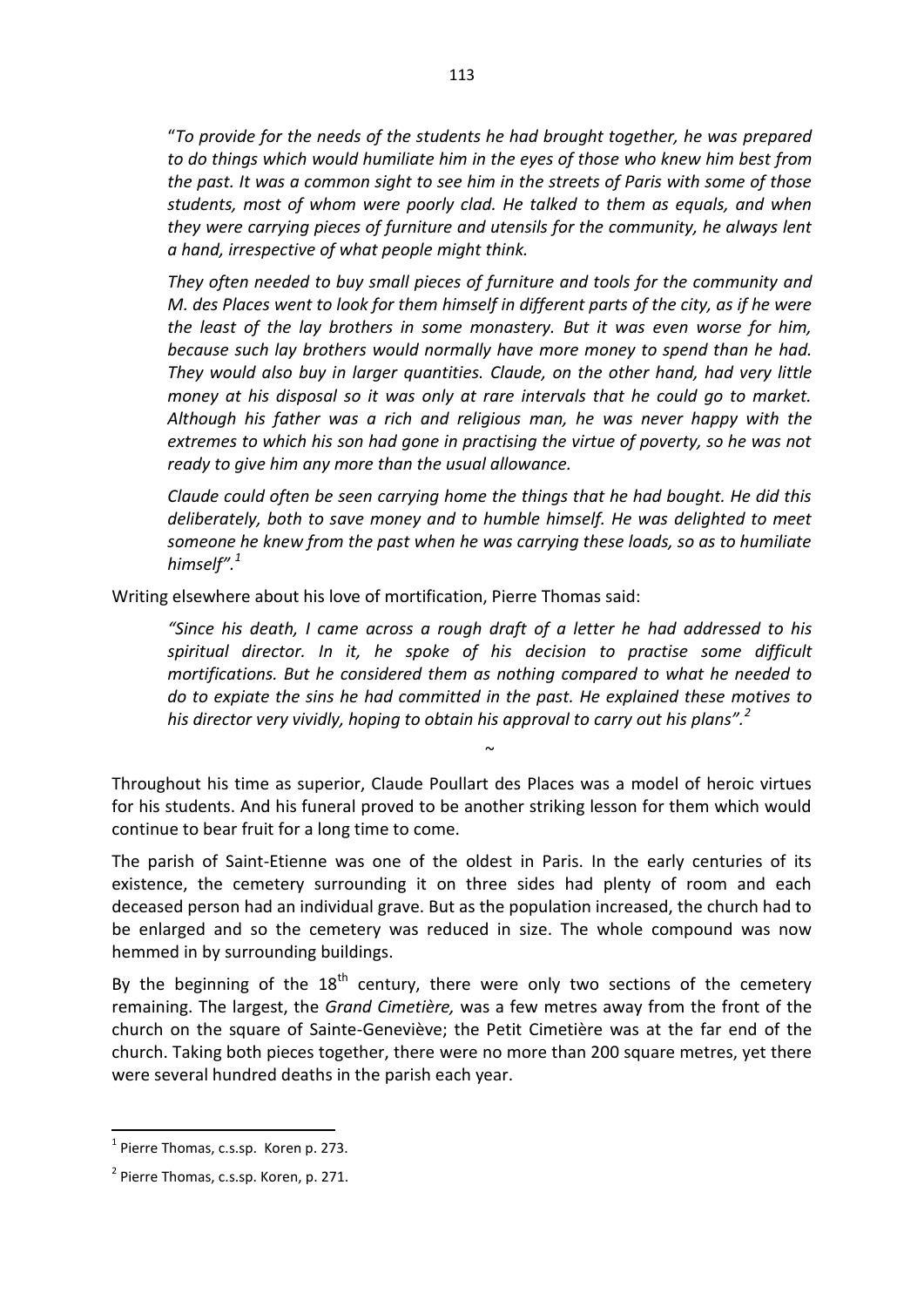"*To provide for the needs of the students he had brought together, he was prepared to do things which would humiliate him in the eyes of those who knew him best from the past. It was a common sight to see him in the streets of Paris with some of those students, most of whom were poorly clad. He talked to them as equals, and when they were carrying pieces of furniture and utensils for the community, he always lent a hand, irrespective of what people might think.* 

*They often needed to buy small pieces of furniture and tools for the community and M. des Places went to look for them himself in different parts of the city, as if he were the least of the lay brothers in some monastery. But it was even worse for him, because such lay brothers would normally have more money to spend than he had. They would also buy in larger quantities. Claude, on the other hand, had very little money at his disposal so it was only at rare intervals that he could go to market. Although his father was a rich and religious man, he was never happy with the extremes to which his son had gone in practising the virtue of poverty, so he was not ready to give him any more than the usual allowance.* 

*Claude could often be seen carrying home the things that he had bought. He did this deliberately, both to save money and to humble himself. He was delighted to meet someone he knew from the past when he was carrying these loads, so as to humiliate himself".<sup>1</sup>*

Writing elsewhere about his love of mortification, Pierre Thomas said:

*"Since his death, I came across a rough draft of a letter he had addressed to his spiritual director. In it, he spoke of his decision to practise some difficult mortifications. But he considered them as nothing compared to what he needed to do to expiate the sins he had committed in the past. He explained these motives to his director very vividly, hoping to obtain his approval to carry out his plans".<sup>2</sup>*

 $\sim$ 

Throughout his time as superior, Claude Poullart des Places was a model of heroic virtues for his students. And his funeral proved to be another striking lesson for them which would continue to bear fruit for a long time to come.

The parish of Saint-Etienne was one of the oldest in Paris. In the early centuries of its existence, the cemetery surrounding it on three sides had plenty of room and each deceased person had an individual grave. But as the population increased, the church had to be enlarged and so the cemetery was reduced in size. The whole compound was now hemmed in by surrounding buildings.

By the beginning of the  $18<sup>th</sup>$  century, there were only two sections of the cemetery remaining. The largest, the *Grand Cimetière,* was a few metres away from the front of the church on the square of Sainte-Geneviève; the Petit Cimetière was at the far end of the church. Taking both pieces together, there were no more than 200 square metres, yet there were several hundred deaths in the parish each year.

<sup>&</sup>lt;sup>1</sup> Pierre Thomas, c.s.sp. Koren p. 273.

<sup>&</sup>lt;sup>2</sup> Pierre Thomas, c.s.sp. Koren, p. 271.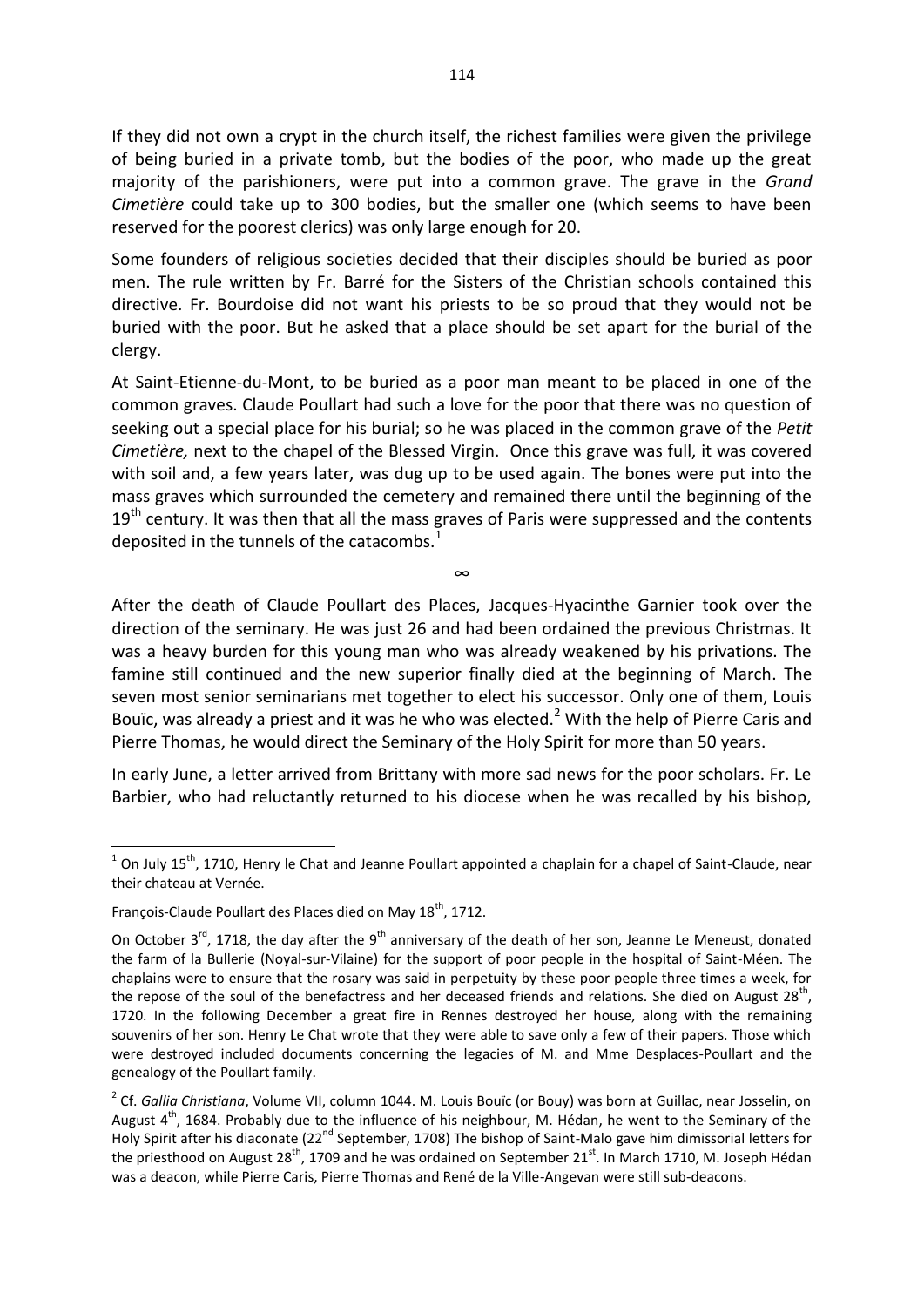If they did not own a crypt in the church itself, the richest families were given the privilege of being buried in a private tomb, but the bodies of the poor, who made up the great majority of the parishioners, were put into a common grave. The grave in the *Grand Cimetière* could take up to 300 bodies, but the smaller one (which seems to have been reserved for the poorest clerics) was only large enough for 20.

Some founders of religious societies decided that their disciples should be buried as poor men. The rule written by Fr. Barré for the Sisters of the Christian schools contained this directive. Fr. Bourdoise did not want his priests to be so proud that they would not be buried with the poor. But he asked that a place should be set apart for the burial of the clergy.

At Saint-Etienne-du-Mont, to be buried as a poor man meant to be placed in one of the common graves. Claude Poullart had such a love for the poor that there was no question of seeking out a special place for his burial; so he was placed in the common grave of the *Petit Cimetière,* next to the chapel of the Blessed Virgin. Once this grave was full, it was covered with soil and, a few years later, was dug up to be used again. The bones were put into the mass graves which surrounded the cemetery and remained there until the beginning of the  $19<sup>th</sup>$  century. It was then that all the mass graves of Paris were suppressed and the contents deposited in the tunnels of the catacombs. $<sup>1</sup>$ </sup>

After the death of Claude Poullart des Places, Jacques-Hyacinthe Garnier took over the direction of the seminary. He was just 26 and had been ordained the previous Christmas. It was a heavy burden for this young man who was already weakened by his privations. The famine still continued and the new superior finally died at the beginning of March. The seven most senior seminarians met together to elect his successor. Only one of them, Louis Bouïc, was already a priest and it was he who was elected. $^2$  With the help of Pierre Caris and Pierre Thomas, he would direct the Seminary of the Holy Spirit for more than 50 years.

∞

In early June, a letter arrived from Brittany with more sad news for the poor scholars. Fr. Le Barbier, who had reluctantly returned to his diocese when he was recalled by his bishop,

1

 $1$  On July 15<sup>th</sup>, 1710, Henry le Chat and Jeanne Poullart appointed a chaplain for a chapel of Saint-Claude, near their chateau at Vernée.

François-Claude Poullart des Places died on May 18<sup>th</sup>, 1712.

On October 3<sup>rd</sup>, 1718, the day after the 9<sup>th</sup> anniversary of the death of her son, Jeanne Le Meneust, donated the farm of la Bullerie (Noyal-sur-Vilaine) for the support of poor people in the hospital of Saint-Méen. The chaplains were to ensure that the rosary was said in perpetuity by these poor people three times a week, for the repose of the soul of the benefactress and her deceased friends and relations. She died on August 28<sup>th</sup>, 1720. In the following December a great fire in Rennes destroyed her house, along with the remaining souvenirs of her son. Henry Le Chat wrote that they were able to save only a few of their papers. Those which were destroyed included documents concerning the legacies of M. and Mme Desplaces-Poullart and the genealogy of the Poullart family.

<sup>2</sup> Cf. *Gallia Christiana*, Volume VII, column 1044. M. Louis Bouïc (or Bouy) was born at Guillac, near Josselin, on August  $4^{th}$ , 1684. Probably due to the influence of his neighbour, M. Hédan, he went to the Seminary of the Holy Spirit after his diaconate (22<sup>nd</sup> September, 1708) The bishop of Saint-Malo gave him dimissorial letters for the priesthood on August 28<sup>th</sup>, 1709 and he was ordained on September 21<sup>st</sup>. In March 1710, M. Joseph Hédan was a deacon, while Pierre Caris, Pierre Thomas and René de la Ville-Angevan were still sub-deacons.